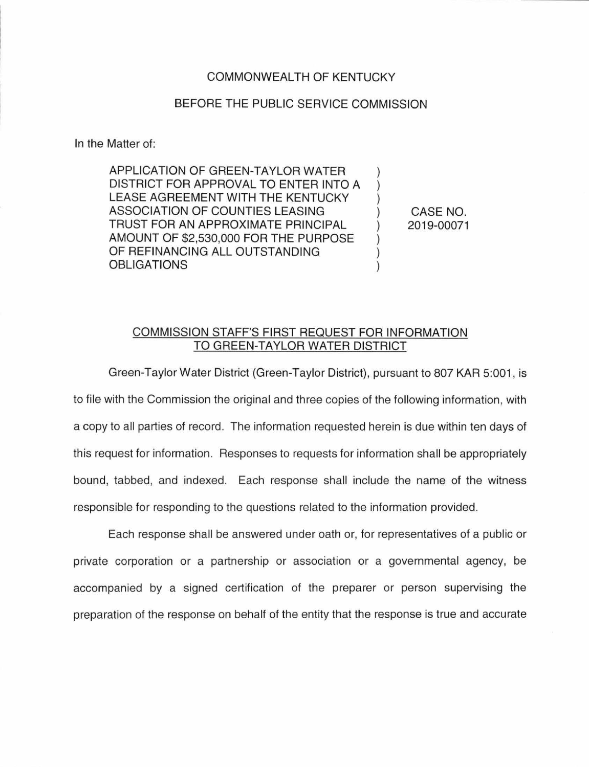## COMMONWEALTH OF KENTUCKY

## BEFORE THE PUBLIC SERVICE COMMISSION

In the Matter of:

APPLICATION OF GREEN-TAYLOR WATER DISTRICT FOR APPROVAL TO ENTER INTO A ) LEASE AGREEMENT WITH THE KENTUCKY ASSOCIATION OF COUNTIES LEASING ) TRUST FOR AN APPROXIMATE PRINCIPAL ) AMOUNT OF \$2,530,000 FOR THE PURPOSE OF REFINANCING ALL OUTSTANDING **OBLIGATIONS** 

CASE NO. 2019-00071

## COMMISSION STAFF'S FIRST REQUEST FOR INFORMATION TO GREEN-TAYLOR WATER DISTRICT

Green-Taylor Water District (Green-Taylor District), pursuant to 807 KAR 5:001 , is to file with the Commission the original and three copies of the following information, with a copy to all parties of record. The information requested herein is due within ten days of this request for information. Responses to requests for information shall be appropriately bound, tabbed, and indexed. Each response shall include the name of the witness responsible for responding to the questions related to the information provided.

Each response shall be answered under oath or, for representatives of a public or private corporation or a partnership or association or a governmental agency, be accompanied by a signed certification of the preparer or person supervising the preparation of the response on behalf of the entity that the response is true and accurate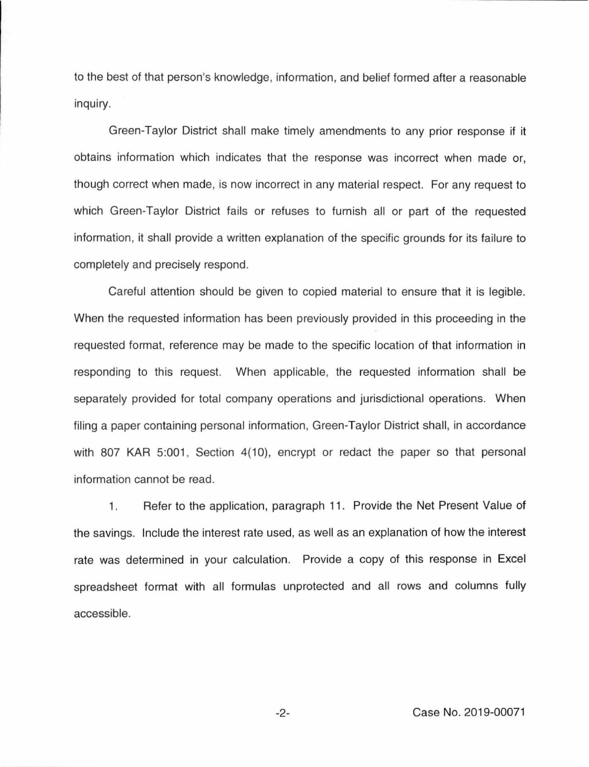to the best of that person's knowledge, information, and belief formed after a reasonable inquiry.

Green-Taylor District shall make timely amendments to any prior response if it obtains information which indicates that the response was incorrect when made or, though correct when made, is now incorrect in any material respect. For any request to which Green-Taylor District fails or refuses to furnish all or part of the requested information, it shall provide a written explanation of the specific grounds for its failure to completely and precisely respond.

Careful attention should be given to copied material to ensure that it is legible. When the requested information has been previously provided in this proceeding in the requested format, reference may be made to the specific location of that information in responding to this request. When applicable, the requested information shall be separately provided for total company operations and jurisdictional operations. When filing a paper containing personal information, Green-Taylor District shall, in accordance with 807 KAR 5:001, Section 4(10), encrypt or redact the paper so that personal information cannot be read.

1. Refer to the application, paragraph 11. Provide the Net Present Value of the savings. Include the interest rate used, as well as an explanation of how the interest rate was determined in your calculation. Provide a copy of this response in Excel spreadsheet format with all formulas unprotected and all rows and columns fully accessible.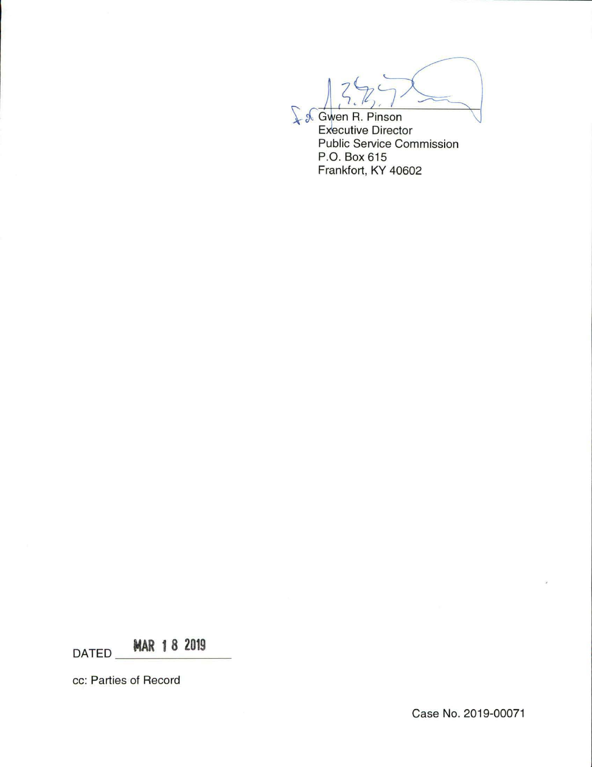$\sqrt{$}$   $\sqrt{$}$  Gwen R. Pinson Executive Director

Public Service Commission P.O. Box 615 Frankfort, KY 40602

DATED **MAR 1 8 2019** 

cc: Parties of Record